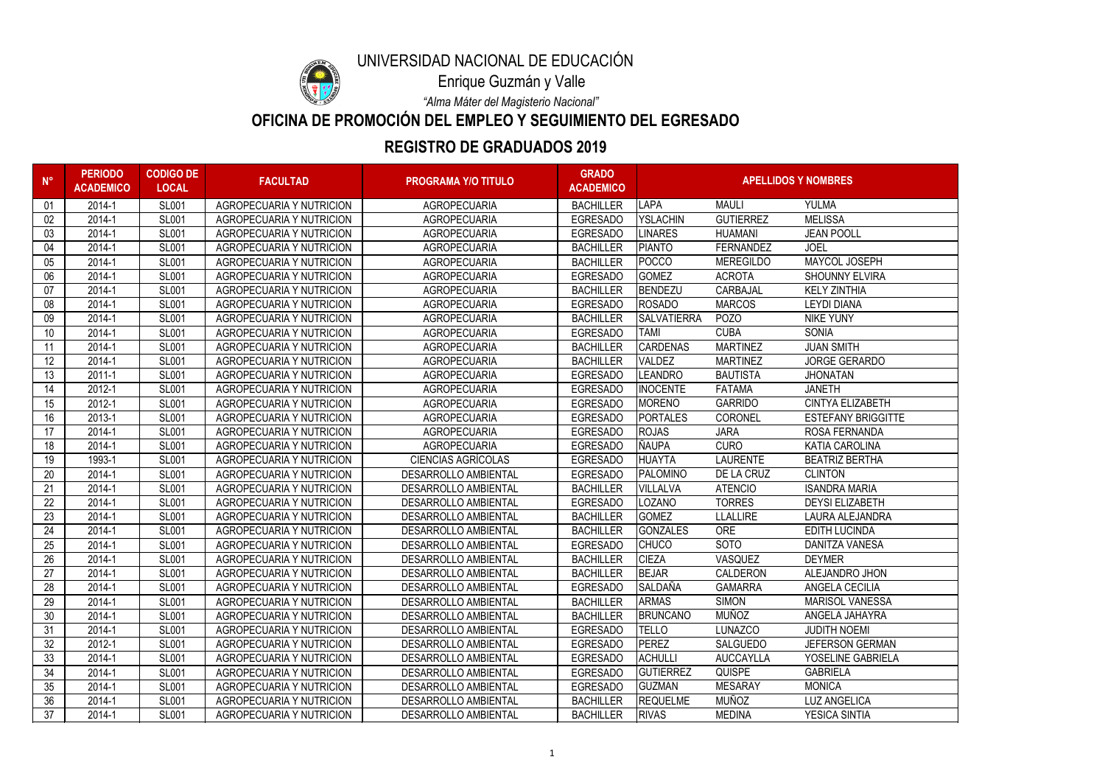| $N^{\circ}$ | <b>PERIODO</b><br><b>ACADEMICO</b> | <b>CODIGO DE</b><br><b>LOCAL</b> | <b>FACULTAD</b>                 | <b>PROGRAMA Y/O TITULO</b>  | <b>GRADO</b><br><b>ACADEMICO</b> | <b>APELLIDOS Y NOMBRES</b> |                  |                           |
|-------------|------------------------------------|----------------------------------|---------------------------------|-----------------------------|----------------------------------|----------------------------|------------------|---------------------------|
| 01          | 2014-1                             | <b>SL001</b>                     | <b>AGROPECUARIA Y NUTRICION</b> | <b>AGROPECUARIA</b>         | <b>BACHILLER</b>                 | LAPA                       | <b>MAULI</b>     | <b>YULMA</b>              |
| 02          | 2014-1                             | <b>SL001</b>                     | <b>AGROPECUARIA Y NUTRICION</b> | <b>AGROPECUARIA</b>         | <b>EGRESADO</b>                  | <b>YSLACHIN</b>            | <b>GUTIERREZ</b> | <b>MELISSA</b>            |
| 03          | 2014-1                             | <b>SL001</b>                     | <b>AGROPECUARIA Y NUTRICION</b> | <b>AGROPECUARIA</b>         | <b>EGRESADO</b>                  | <b>LINARES</b>             | <b>HUAMANI</b>   | <b>JEAN POOLL</b>         |
| 04          | 2014-1                             | <b>SL001</b>                     | <b>AGROPECUARIA Y NUTRICION</b> | <b>AGROPECUARIA</b>         | <b>BACHILLER</b>                 | PIANTO                     | <b>FERNANDEZ</b> | <b>JOEL</b>               |
| 05          | 2014-1                             | <b>SL001</b>                     | <b>AGROPECUARIA Y NUTRICION</b> | <b>AGROPECUARIA</b>         | <b>BACHILLER</b>                 | <b>POCCO</b>               | <b>MEREGILDO</b> | MAYCOL JOSEPH             |
| 06          | 2014-1                             | <b>SL001</b>                     | <b>AGROPECUARIA Y NUTRICION</b> | <b>AGROPECUARIA</b>         | <b>EGRESADO</b>                  | <b>GOMEZ</b>               | <b>ACROTA</b>    | <b>SHOUNNY ELVIRA</b>     |
| 07          | 2014-1                             | <b>SL001</b>                     | <b>AGROPECUARIA Y NUTRICION</b> | <b>AGROPECUARIA</b>         | <b>BACHILLER</b>                 | <b>BENDEZU</b>             | <b>CARBAJAL</b>  | <b>KELY ZINTHIA</b>       |
| 08          | 2014-1                             | <b>SL001</b>                     | <b>AGROPECUARIA Y NUTRICION</b> | <b>AGROPECUARIA</b>         | <b>EGRESADO</b>                  | ROSADO                     | <b>MARCOS</b>    | <b>LEYDI DIANA</b>        |
| 09          | 2014-1                             | <b>SL001</b>                     | <b>AGROPECUARIA Y NUTRICION</b> | <b>AGROPECUARIA</b>         | <b>BACHILLER</b>                 | <b>SALVATIERRA</b>         | <b>POZO</b>      | <b>NIKE YUNY</b>          |
| 10          | 2014-1                             | <b>SL001</b>                     | <b>AGROPECUARIA Y NUTRICION</b> | <b>AGROPECUARIA</b>         | <b>EGRESADO</b>                  | <b>TAMI</b>                | <b>CUBA</b>      | <b>SONIA</b>              |
| 11          | 2014-1                             | <b>SL001</b>                     | <b>AGROPECUARIA Y NUTRICION</b> | <b>AGROPECUARIA</b>         | <b>BACHILLER</b>                 | <b>CARDENAS</b>            | <b>MARTINEZ</b>  | <b>JUAN SMITH</b>         |
| 12          | 2014-1                             | <b>SL001</b>                     | <b>AGROPECUARIA Y NUTRICION</b> | <b>AGROPECUARIA</b>         | <b>BACHILLER</b>                 | <b>VALDEZ</b>              | <b>MARTINEZ</b>  | <b>JORGE GERARDO</b>      |
| 13          | $2011 - 1$                         | <b>SL001</b>                     | <b>AGROPECUARIA Y NUTRICION</b> | <b>AGROPECUARIA</b>         | <b>EGRESADO</b>                  | <b>LEANDRO</b>             | <b>BAUTISTA</b>  | <b>JHONATAN</b>           |
| 14          | 2012-1                             | <b>SL001</b>                     | <b>AGROPECUARIA Y NUTRICION</b> | <b>AGROPECUARIA</b>         | <b>EGRESADO</b>                  | <b>INOCENTE</b>            | <b>FATAMA</b>    | <b>JANETH</b>             |
| 15          | 2012-1                             | <b>SL001</b>                     | <b>AGROPECUARIA Y NUTRICION</b> | <b>AGROPECUARIA</b>         | <b>EGRESADO</b>                  | <b>MORENO</b>              | <b>GARRIDO</b>   | <b>CINTYA ELIZABETH</b>   |
| 16          | 2013-1                             | <b>SL001</b>                     | <b>AGROPECUARIA Y NUTRICION</b> | <b>AGROPECUARIA</b>         | <b>EGRESADO</b>                  | <b>PORTALES</b>            | <b>CORONEL</b>   | <b>ESTEFANY BRIGGITTE</b> |
| 17          | 2014-1                             | <b>SL001</b>                     | <b>AGROPECUARIA Y NUTRICION</b> | <b>AGROPECUARIA</b>         | <b>EGRESADO</b>                  | <b>ROJAS</b>               | <b>JARA</b>      | <b>ROSA FERNANDA</b>      |
| 18          | 2014-1                             | <b>SL001</b>                     | <b>AGROPECUARIA Y NUTRICION</b> | <b>AGROPECUARIA</b>         | <b>EGRESADO</b>                  | <b>ÑAUPA</b>               | <b>CURO</b>      | <b>KATIA CAROLINA</b>     |
| 19          | 1993-1                             | <b>SL001</b>                     | <b>AGROPECUARIA Y NUTRICION</b> | <b>CIENCIAS AGRÍCOLAS</b>   | <b>EGRESADO</b>                  | <b>HUAYTA</b>              | <b>LAURENTE</b>  | <b>BEATRIZ BERTHA</b>     |
| 20          | 2014-1                             | <b>SL001</b>                     | <b>AGROPECUARIA Y NUTRICION</b> | <b>DESARROLLO AMBIENTAL</b> | <b>EGRESADO</b>                  | <b>PALOMINO</b>            | DE LA CRUZ       | <b>CLINTON</b>            |
| 21          | 2014-1                             | <b>SL001</b>                     | <b>AGROPECUARIA Y NUTRICION</b> | <b>DESARROLLO AMBIENTAL</b> | <b>BACHILLER</b>                 | <b>VILLALVA</b>            | <b>ATENCIO</b>   | <b>ISANDRA MARIA</b>      |
| 22          | 2014-1                             | <b>SL001</b>                     | <b>AGROPECUARIA Y NUTRICION</b> | <b>DESARROLLO AMBIENTAL</b> | <b>EGRESADO</b>                  | <b>LOZANO</b>              | <b>TORRES</b>    | <b>DEYSI ELIZABETH</b>    |
| 23          | 2014-1                             | <b>SL001</b>                     | <b>AGROPECUARIA Y NUTRICION</b> | <b>DESARROLLO AMBIENTAL</b> | <b>BACHILLER</b>                 | <b>GOMEZ</b>               | <b>LLALLIRE</b>  | LAURA ALEJANDRA           |
| 24          | 2014-1                             | <b>SL001</b>                     | <b>AGROPECUARIA Y NUTRICION</b> | <b>DESARROLLO AMBIENTAL</b> | <b>BACHILLER</b>                 | <b>GONZALES</b>            | <b>ORE</b>       | <b>EDITH LUCINDA</b>      |
| 25          | 2014-1                             | <b>SL001</b>                     | <b>AGROPECUARIA Y NUTRICION</b> | DESARROLLO AMBIENTAL        | <b>EGRESADO</b>                  | <b>CHUCO</b>               | <b>SOTO</b>      | <b>DANITZA VANESA</b>     |
| 26          | 2014-1                             | <b>SL001</b>                     | <b>AGROPECUARIA Y NUTRICION</b> | <b>DESARROLLO AMBIENTAL</b> | <b>BACHILLER</b>                 | <b>CIEZA</b>               | VASQUEZ          | <b>DEYMER</b>             |
| 27          | 2014-1                             | <b>SL001</b>                     | <b>AGROPECUARIA Y NUTRICION</b> | <b>DESARROLLO AMBIENTAL</b> | <b>BACHILLER</b>                 | <b>BEJAR</b>               | <b>CALDERON</b>  | ALEJANDRO JHON            |
| 28          | 2014-1                             | <b>SL001</b>                     | <b>AGROPECUARIA Y NUTRICION</b> | <b>DESARROLLO AMBIENTAL</b> | <b>EGRESADO</b>                  | <b>SALDAÑA</b>             | <b>GAMARRA</b>   | ANGELA CECILIA            |
| 29          | 2014-1                             | <b>SL001</b>                     | AGROPECUARIA Y NUTRICION        | <b>DESARROLLO AMBIENTAL</b> | <b>BACHILLER</b>                 | <b>ARMAS</b>               | <b>SIMON</b>     | <b>MARISOL VANESSA</b>    |
| 30          | 2014-1                             | <b>SL001</b>                     | <b>AGROPECUARIA Y NUTRICION</b> | <b>DESARROLLO AMBIENTAL</b> | <b>BACHILLER</b>                 | <b>BRUNCANO</b>            | <b>MUÑOZ</b>     | ANGELA JAHAYRA            |
| 31          | 2014-1                             | <b>SL001</b>                     | <b>AGROPECUARIA Y NUTRICION</b> | <b>DESARROLLO AMBIENTAL</b> | <b>EGRESADO</b>                  | <b>TELLO</b>               | <b>LUNAZCO</b>   | <b>JUDITH NOEMI</b>       |
| 32          | 2012-1                             | <b>SL001</b>                     | AGROPECUARIA Y NUTRICION        | <b>DESARROLLO AMBIENTAL</b> | <b>EGRESADO</b>                  | PEREZ                      | <b>SALGUEDO</b>  | <b>JEFERSON GERMAN</b>    |
| 33          | 2014-1                             | <b>SL001</b>                     | AGROPECUARIA Y NUTRICION        | <b>DESARROLLO AMBIENTAL</b> | <b>EGRESADO</b>                  | <b>ACHULLI</b>             | <b>AUCCAYLLA</b> | YOSELINE GABRIELA         |
| 34          | 2014-1                             | <b>SL001</b>                     | <b>AGROPECUARIA Y NUTRICION</b> | <b>DESARROLLO AMBIENTAL</b> | <b>EGRESADO</b>                  | <b>GUTIERREZ</b>           | <b>QUISPE</b>    | <b>GABRIELA</b>           |
| 35          | 2014-1                             | <b>SL001</b>                     | <b>AGROPECUARIA Y NUTRICION</b> | <b>DESARROLLO AMBIENTAL</b> | <b>EGRESADO</b>                  | <b>GUZMAN</b>              | <b>MESARAY</b>   | <b>MONICA</b>             |
| 36          | 2014-1                             | <b>SL001</b>                     | AGROPECUARIA Y NUTRICION        | <b>DESARROLLO AMBIENTAL</b> | <b>BACHILLER</b>                 | <b>REQUELME</b>            | <b>MUÑOZ</b>     | <b>LUZ ANGELICA</b>       |
| 37          | 2014-1                             | <b>SL001</b>                     | AGROPECUARIA Y NUTRICION        | DESARROLLO AMBIENTAL        | <b>BACHILLER</b>                 | <b>RIVAS</b>               | <b>MEDINA</b>    | YESICA SINTIA             |



# **REGISTRO DE GRADUADOS 2019**

**OFICINA DE PROMOCIÓN DEL EMPLEO Y SEGUIMIENTO DEL EGRESADO**

*"Alma Máter del Magisterio Nacional"*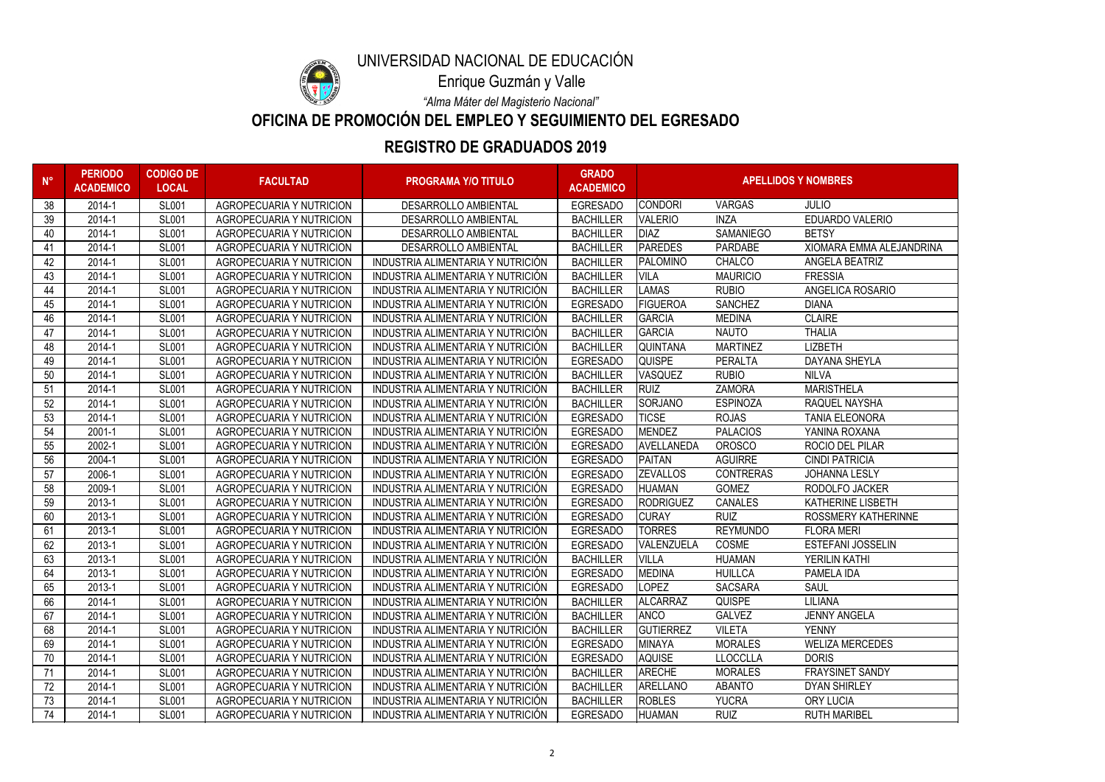

## **REGISTRO DE GRADUADOS 2019**

**OFICINA DE PROMOCIÓN DEL EMPLEO Y SEGUIMIENTO DEL EGRESADO**

*"Alma Máter del Magisterio Nacional"*

| $N^{\circ}$ | <b>PERIODO</b><br><b>ACADEMICO</b> | <b>CODIGO DE</b><br><b>LOCAL</b> | <b>FACULTAD</b>                 | <b>PROGRAMA Y/O TITULO</b>        | <b>GRADO</b><br><b>ACADEMICO</b> | <b>APELLIDOS Y NOMBRES</b> |                  |                            |
|-------------|------------------------------------|----------------------------------|---------------------------------|-----------------------------------|----------------------------------|----------------------------|------------------|----------------------------|
| 38          | 2014-1                             | <b>SL001</b>                     | <b>AGROPECUARIA Y NUTRICION</b> | <b>DESARROLLO AMBIENTAL</b>       | <b>EGRESADO</b>                  | <b>CONDORI</b>             | <b>VARGAS</b>    | <b>JULIO</b>               |
| 39          | 2014-1                             | <b>SL001</b>                     | <b>AGROPECUARIA Y NUTRICION</b> | <b>DESARROLLO AMBIENTAL</b>       | <b>BACHILLER</b>                 | <b>VALERIO</b>             | <b>INZA</b>      | <b>EDUARDO VALERIO</b>     |
| 40          | 2014-1                             | <b>SL001</b>                     | <b>AGROPECUARIA Y NUTRICION</b> | DESARROLLO AMBIENTAL              | <b>BACHILLER</b>                 | <b>DIAZ</b>                | <b>SAMANIEGO</b> | <b>BETSY</b>               |
| 41          | 2014-1                             | <b>SL001</b>                     | <b>AGROPECUARIA Y NUTRICION</b> | <b>DESARROLLO AMBIENTAL</b>       | <b>BACHILLER</b>                 | PAREDES                    | <b>PARDABE</b>   | XIOMARA EMMA ALEJANDRINA   |
| 42          | 2014-1                             | <b>SL001</b>                     | <b>AGROPECUARIA Y NUTRICION</b> | INDUSTRIA ALIMENTARIA Y NUTRICIÓN | <b>BACHILLER</b>                 | <b>PALOMINO</b>            | <b>CHALCO</b>    | ANGELA BEATRIZ             |
| 43          | 2014-1                             | <b>SL001</b>                     | <b>AGROPECUARIA Y NUTRICION</b> | INDUSTRIA ALIMENTARIA Y NUTRICIÓN | <b>BACHILLER</b>                 | <b>VILA</b>                | <b>MAURICIO</b>  | <b>FRESSIA</b>             |
| 44          | 2014-1                             | <b>SL001</b>                     | <b>AGROPECUARIA Y NUTRICION</b> | INDUSTRIA ALIMENTARIA Y NUTRICIÓN | <b>BACHILLER</b>                 | LAMAS                      | <b>RUBIO</b>     | ANGELICA ROSARIO           |
| 45          | 2014-1                             | <b>SL001</b>                     | <b>AGROPECUARIA Y NUTRICION</b> | INDUSTRIA ALIMENTARIA Y NUTRICIÓN | <b>EGRESADO</b>                  | <b>FIGUEROA</b>            | <b>SANCHEZ</b>   | <b>DIANA</b>               |
| 46          | 2014-1                             | <b>SL001</b>                     | <b>AGROPECUARIA Y NUTRICION</b> | INDUSTRIA ALIMENTARIA Y NUTRICIÓN | <b>BACHILLER</b>                 | <b>GARCIA</b>              | <b>MEDINA</b>    | <b>CLAIRE</b>              |
| 47          | 2014-1                             | <b>SL001</b>                     | <b>AGROPECUARIA Y NUTRICION</b> | INDUSTRIA ALIMENTARIA Y NUTRICIÓN | <b>BACHILLER</b>                 | <b>GARCIA</b>              | <b>NAUTO</b>     | <b>THALIA</b>              |
| 48          | 2014-1                             | <b>SL001</b>                     | <b>AGROPECUARIA Y NUTRICION</b> | INDUSTRIA ALIMENTARIA Y NUTRICIÓN | <b>BACHILLER</b>                 | <b>QUINTANA</b>            | <b>MARTINEZ</b>  | <b>LIZBETH</b>             |
| 49          | 2014-1                             | <b>SL001</b>                     | <b>AGROPECUARIA Y NUTRICION</b> | INDUSTRIA ALIMENTARIA Y NUTRICIÓN | <b>EGRESADO</b>                  | <b>QUISPE</b>              | <b>PERALTA</b>   | <b>DAYANA SHEYLA</b>       |
| 50          | 2014-1                             | <b>SL001</b>                     | <b>AGROPECUARIA Y NUTRICION</b> | INDUSTRIA ALIMENTARIA Y NUTRICIÓN | <b>BACHILLER</b>                 | <b>VASQUEZ</b>             | <b>RUBIO</b>     | <b>NILVA</b>               |
| 51          | 2014-1                             | <b>SL001</b>                     | <b>AGROPECUARIA Y NUTRICION</b> | INDUSTRIA ALIMENTARIA Y NUTRICIÓN | <b>BACHILLER</b>                 | RUIZ                       | <b>ZAMORA</b>    | <b>MARISTHELA</b>          |
| 52          | 2014-1                             | <b>SL001</b>                     | <b>AGROPECUARIA Y NUTRICION</b> | INDUSTRIA ALIMENTARIA Y NUTRICIÓN | <b>BACHILLER</b>                 | SORJANO                    | <b>ESPINOZA</b>  | RAQUEL NAYSHA              |
| 53          | 2014-1                             | <b>SL001</b>                     | <b>AGROPECUARIA Y NUTRICION</b> | INDUSTRIA ALIMENTARIA Y NUTRICIÓN | <b>EGRESADO</b>                  | <b>TICSE</b>               | <b>ROJAS</b>     | <b>TANIA ELEONORA</b>      |
| 54          | 2001-1                             | <b>SL001</b>                     | <b>AGROPECUARIA Y NUTRICION</b> | INDUSTRIA ALIMENTARIA Y NUTRICIÓN | <b>EGRESADO</b>                  | <b>MENDEZ</b>              | <b>PALACIOS</b>  | YANINA ROXANA              |
| 55          | 2002-1                             | <b>SL001</b>                     | <b>AGROPECUARIA Y NUTRICION</b> | INDUSTRIA ALIMENTARIA Y NUTRICIÓN | <b>EGRESADO</b>                  | AVELLANEDA                 | <b>OROSCO</b>    | ROCIO DEL PILAR            |
| 56          | 2004-1                             | <b>SL001</b>                     | <b>AGROPECUARIA Y NUTRICION</b> | INDUSTRIA ALIMENTARIA Y NUTRICIÓN | <b>EGRESADO</b>                  | PAITAN                     | <b>AGUIRRE</b>   | <b>CINDI PATRICIA</b>      |
| 57          | 2006-1                             | <b>SL001</b>                     | <b>AGROPECUARIA Y NUTRICION</b> | INDUSTRIA ALIMENTARIA Y NUTRICIÓN | <b>EGRESADO</b>                  | <b>ZEVALLOS</b>            | <b>CONTRERAS</b> | <b>JOHANNA LESLY</b>       |
| 58          | 2009-1                             | <b>SL001</b>                     | <b>AGROPECUARIA Y NUTRICION</b> | INDUSTRIA ALIMENTARIA Y NUTRICIÓN | <b>EGRESADO</b>                  | <b>HUAMAN</b>              | <b>GOMEZ</b>     | RODOLFO JACKER             |
| 59          | 2013-1                             | <b>SL001</b>                     | <b>AGROPECUARIA Y NUTRICION</b> | INDUSTRIA ALIMENTARIA Y NUTRICIÓN | <b>EGRESADO</b>                  | RODRIGUEZ                  | <b>CANALES</b>   | <b>KATHERINE LISBETH</b>   |
| 60          | 2013-1                             | <b>SL001</b>                     | <b>AGROPECUARIA Y NUTRICION</b> | INDUSTRIA ALIMENTARIA Y NUTRICIÓN | <b>EGRESADO</b>                  | <b>CURAY</b>               | <b>RUIZ</b>      | <b>ROSSMERY KATHERINNE</b> |
| 61          | 2013-1                             | <b>SL001</b>                     | <b>AGROPECUARIA Y NUTRICION</b> | INDUSTRIA ALIMENTARIA Y NUTRICIÓN | <b>EGRESADO</b>                  | <b>TORRES</b>              | <b>REYMUNDO</b>  | <b>FLORA MERI</b>          |
| 62          | 2013-1                             | <b>SL001</b>                     | <b>AGROPECUARIA Y NUTRICION</b> | INDUSTRIA ALIMENTARIA Y NUTRICIÓN | <b>EGRESADO</b>                  | VALENZUELA                 | <b>COSME</b>     | <b>ESTEFANI JOSSELIN</b>   |
| 63          | 2013-1                             | <b>SL001</b>                     | <b>AGROPECUARIA Y NUTRICION</b> | INDUSTRIA ALIMENTARIA Y NUTRICIÓN | <b>BACHILLER</b>                 | <b>VILLA</b>               | <b>HUAMAN</b>    | YERILIN KATHI              |
| 64          | 2013-1                             | <b>SL001</b>                     | <b>AGROPECUARIA Y NUTRICION</b> | INDUSTRIA ALIMENTARIA Y NUTRICIÓN | <b>EGRESADO</b>                  | <b>MEDINA</b>              | <b>HUILLCA</b>   | PAMELA IDA                 |
| 65          | 2013-1                             | <b>SL001</b>                     | <b>AGROPECUARIA Y NUTRICION</b> | INDUSTRIA ALIMENTARIA Y NUTRICIÓN | <b>EGRESADO</b>                  | LOPEZ                      | <b>SACSARA</b>   | <b>SAUL</b>                |
| 66          | 2014-1                             | <b>SL001</b>                     | AGROPECUARIA Y NUTRICION        | INDUSTRIA ALIMENTARIA Y NUTRICIÓN | <b>BACHILLER</b>                 | <b>ALCARRAZ</b>            | <b>QUISPE</b>    | <b>LILIANA</b>             |
| 67          | 2014-1                             | <b>SL001</b>                     | AGROPECUARIA Y NUTRICION        | INDUSTRIA ALIMENTARIA Y NUTRICIÓN | <b>BACHILLER</b>                 | <b>ANCO</b>                | <b>GALVEZ</b>    | <b>JENNY ANGELA</b>        |
| 68          | 2014-1                             | <b>SL001</b>                     | AGROPECUARIA Y NUTRICION        | INDUSTRIA ALIMENTARIA Y NUTRICIÓN | <b>BACHILLER</b>                 | <b>GUTIERREZ</b>           | <b>VILETA</b>    | <b>YENNY</b>               |
| 69          | 2014-1                             | <b>SL001</b>                     | AGROPECUARIA Y NUTRICION        | INDUSTRIA ALIMENTARIA Y NUTRICIÓN | <b>EGRESADO</b>                  | MINAYA                     | <b>MORALES</b>   | <b>WELIZA MERCEDES</b>     |
| 70          | 2014-1                             | <b>SL001</b>                     | <b>AGROPECUARIA Y NUTRICION</b> | INDUSTRIA ALIMENTARIA Y NUTRICIÓN | <b>EGRESADO</b>                  | AQUISE                     | <b>LLOCCLLA</b>  | <b>DORIS</b>               |
| 71          | 2014-1                             | <b>SL001</b>                     | AGROPECUARIA Y NUTRICION        | INDUSTRIA ALIMENTARIA Y NUTRICIÓN | <b>BACHILLER</b>                 | ARECHE                     | <b>MORALES</b>   | <b>FRAYSINET SANDY</b>     |
| 72          | 2014-1                             | <b>SL001</b>                     | <b>AGROPECUARIA Y NUTRICION</b> | INDUSTRIA ALIMENTARIA Y NUTRICIÓN | <b>BACHILLER</b>                 | ARELLANO                   | <b>ABANTO</b>    | <b>DYAN SHIRLEY</b>        |
| 73          | 2014-1                             | <b>SL001</b>                     | AGROPECUARIA Y NUTRICION        | INDUSTRIA ALIMENTARIA Y NUTRICIÓN | <b>BACHILLER</b>                 | <b>ROBLES</b>              | <b>YUCRA</b>     | <b>ORY LUCIA</b>           |
| 74          | 2014-1                             | <b>SL001</b>                     | <b>AGROPECUARIA Y NUTRICION</b> | INDUSTRIA ALIMENTARIA Y NUTRICIÓN | <b>EGRESADO</b>                  | <b>HUAMAN</b>              | <b>RUIZ</b>      | <b>RUTH MARIBEL</b>        |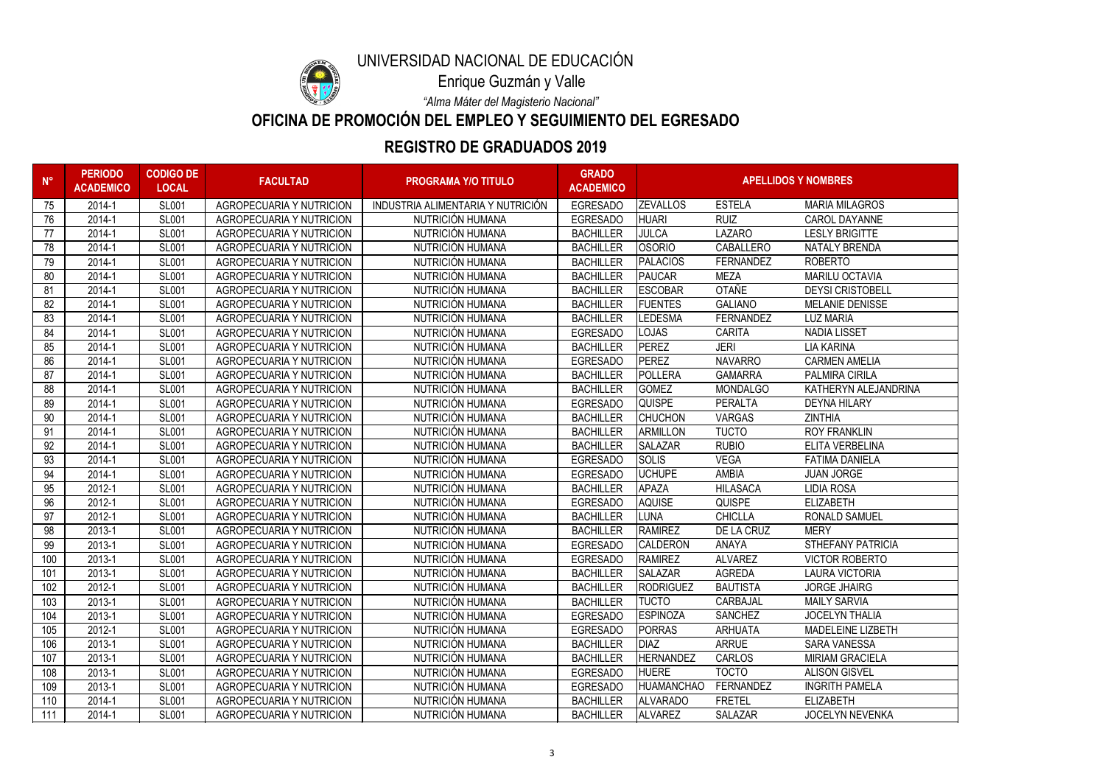

# **REGISTRO DE GRADUADOS 2019**

**OFICINA DE PROMOCIÓN DEL EMPLEO Y SEGUIMIENTO DEL EGRESADO**

*"Alma Máter del Magisterio Nacional"*

| $N^{\circ}$ | <b>PERIODO</b><br><b>ACADEMICO</b> | <b>CODIGO DE</b><br><b>LOCAL</b> | <b>FACULTAD</b>                 | <b>PROGRAMA Y/O TITULO</b>        | <b>GRADO</b><br><b>ACADEMICO</b> | <b>APELLIDOS Y NOMBRES</b> |                  |                          |
|-------------|------------------------------------|----------------------------------|---------------------------------|-----------------------------------|----------------------------------|----------------------------|------------------|--------------------------|
| 75          | 2014-1                             | <b>SL001</b>                     | <b>AGROPECUARIA Y NUTRICION</b> | INDUSTRIA ALIMENTARIA Y NUTRICIÓN | <b>EGRESADO</b>                  | <b>ZEVALLOS</b>            | <b>ESTELA</b>    | <b>MARIA MILAGROS</b>    |
| 76          | 2014-1                             | <b>SL001</b>                     | <b>AGROPECUARIA Y NUTRICION</b> | NUTRICIÓN HUMANA                  | <b>EGRESADO</b>                  | <b>HUARI</b>               | <b>RUIZ</b>      | <b>CAROL DAYANNE</b>     |
| 77          | 2014-1                             | <b>SL001</b>                     | <b>AGROPECUARIA Y NUTRICION</b> | NUTRICIÓN HUMANA                  | <b>BACHILLER</b>                 | <b>JULCA</b>               | LAZARO           | <b>LESLY BRIGITTE</b>    |
| 78          | 2014-1                             | <b>SL001</b>                     | <b>AGROPECUARIA Y NUTRICION</b> | NUTRICIÓN HUMANA                  | <b>BACHILLER</b>                 | <b>OSORIO</b>              | <b>CABALLERO</b> | <b>NATALY BRENDA</b>     |
| 79          | 2014-1                             | <b>SL001</b>                     | <b>AGROPECUARIA Y NUTRICION</b> | NUTRICIÓN HUMANA                  | <b>BACHILLER</b>                 | PALACIOS                   | <b>FERNANDEZ</b> | <b>ROBERTO</b>           |
| 80          | 2014-1                             | <b>SL001</b>                     | <b>AGROPECUARIA Y NUTRICION</b> | NUTRICIÓN HUMANA                  | <b>BACHILLER</b>                 | PAUCAR                     | <b>MEZA</b>      | <b>MARILU OCTAVIA</b>    |
| 81          | 2014-1                             | <b>SL001</b>                     | <b>AGROPECUARIA Y NUTRICION</b> | NUTRICIÓN HUMANA                  | <b>BACHILLER</b>                 | <b>ESCOBAR</b>             | <b>OTAÑE</b>     | <b>DEYSI CRISTOBELL</b>  |
| 82          | 2014-1                             | <b>SL001</b>                     | <b>AGROPECUARIA Y NUTRICION</b> | NUTRICIÓN HUMANA                  | <b>BACHILLER</b>                 | <b>FUENTES</b>             | <b>GALIANO</b>   | <b>MELANIE DENISSE</b>   |
| 83          | 2014-1                             | <b>SL001</b>                     | <b>AGROPECUARIA Y NUTRICION</b> | NUTRICIÓN HUMANA                  | <b>BACHILLER</b>                 | <b>LEDESMA</b>             | <b>FERNANDEZ</b> | <b>LUZ MARIA</b>         |
| 84          | 2014-1                             | <b>SL001</b>                     | <b>AGROPECUARIA Y NUTRICION</b> | NUTRICIÓN HUMANA                  | <b>EGRESADO</b>                  | <b>LOJAS</b>               | <b>CARITA</b>    | <b>NADIA LISSET</b>      |
| 85          | 2014-1                             | <b>SL001</b>                     | <b>AGROPECUARIA Y NUTRICION</b> | NUTRICIÓN HUMANA                  | <b>BACHILLER</b>                 | PEREZ                      | <b>JERI</b>      | <b>LIA KARINA</b>        |
| 86          | 2014-1                             | <b>SL001</b>                     | <b>AGROPECUARIA Y NUTRICION</b> | NUTRICIÓN HUMANA                  | <b>EGRESADO</b>                  | PEREZ                      | <b>NAVARRO</b>   | <b>CARMEN AMELIA</b>     |
| 87          | 2014-1                             | <b>SL001</b>                     | <b>AGROPECUARIA Y NUTRICION</b> | NUTRICIÓN HUMANA                  | <b>BACHILLER</b>                 | POLLERA                    | <b>GAMARRA</b>   | <b>PALMIRA CIRILA</b>    |
| 88          | 2014-1                             | <b>SL001</b>                     | <b>AGROPECUARIA Y NUTRICION</b> | NUTRICIÓN HUMANA                  | <b>BACHILLER</b>                 | <b>GOMEZ</b>               | <b>MONDALGO</b>  | KATHERYN ALEJANDRINA     |
| 89          | 2014-1                             | <b>SL001</b>                     | <b>AGROPECUARIA Y NUTRICION</b> | NUTRICIÓN HUMANA                  | <b>EGRESADO</b>                  | <b>QUISPE</b>              | <b>PERALTA</b>   | <b>DEYNA HILARY</b>      |
| 90          | 2014-1                             | <b>SL001</b>                     | <b>AGROPECUARIA Y NUTRICION</b> | NUTRICIÓN HUMANA                  | <b>BACHILLER</b>                 | <b>CHUCHON</b>             | <b>VARGAS</b>    | <b>ZINTHIA</b>           |
| 91          | 2014-1                             | <b>SL001</b>                     | <b>AGROPECUARIA Y NUTRICION</b> | NUTRICIÓN HUMANA                  | <b>BACHILLER</b>                 | ARMILLON                   | <b>TUCTO</b>     | <b>ROY FRANKLIN</b>      |
| 92          | 2014-1                             | <b>SL001</b>                     | <b>AGROPECUARIA Y NUTRICION</b> | NUTRICIÓN HUMANA                  | <b>BACHILLER</b>                 | <b>SALAZAR</b>             | <b>RUBIO</b>     | <b>ELITA VERBELINA</b>   |
| 93          | 2014-1                             | <b>SL001</b>                     | <b>AGROPECUARIA Y NUTRICION</b> | NUTRICIÓN HUMANA                  | <b>EGRESADO</b>                  | SOLIS                      | <b>VEGA</b>      | <b>FATIMA DANIELA</b>    |
| 94          | 2014-1                             | <b>SL001</b>                     | <b>AGROPECUARIA Y NUTRICION</b> | NUTRICIÓN HUMANA                  | <b>EGRESADO</b>                  | <b>UCHUPE</b>              | <b>AMBIA</b>     | <b>JUAN JORGE</b>        |
| 95          | 2012-1                             | <b>SL001</b>                     | <b>AGROPECUARIA Y NUTRICION</b> | NUTRICIÓN HUMANA                  | <b>BACHILLER</b>                 | <b>APAZA</b>               | <b>HILASACA</b>  | LIDIA ROSA               |
| 96          | 2012-1                             | <b>SL001</b>                     | <b>AGROPECUARIA Y NUTRICION</b> | NUTRICIÓN HUMANA                  | <b>EGRESADO</b>                  | AQUISE                     | <b>QUISPE</b>    | <b>ELIZABETH</b>         |
| 97          | 2012-1                             | <b>SL001</b>                     | <b>AGROPECUARIA Y NUTRICION</b> | NUTRICIÓN HUMANA                  | <b>BACHILLER</b>                 | <b>LUNA</b>                | <b>CHICLLA</b>   | <b>RONALD SAMUEL</b>     |
| 98          | 2013-1                             | <b>SL001</b>                     | <b>AGROPECUARIA Y NUTRICION</b> | NUTRICIÓN HUMANA                  | <b>BACHILLER</b>                 | <b>RAMIREZ</b>             | DE LA CRUZ       | <b>MERY</b>              |
| 99          | 2013-1                             | <b>SL001</b>                     | <b>AGROPECUARIA Y NUTRICION</b> | NUTRICIÓN HUMANA                  | <b>EGRESADO</b>                  | <b>CALDERON</b>            | <b>ANAYA</b>     | <b>STHEFANY PATRICIA</b> |
| 100         | 2013-1                             | <b>SL001</b>                     | <b>AGROPECUARIA Y NUTRICION</b> | NUTRICIÓN HUMANA                  | <b>EGRESADO</b>                  | <b>RAMIREZ</b>             | <b>ALVAREZ</b>   | <b>VICTOR ROBERTO</b>    |
| 101         | 2013-1                             | <b>SL001</b>                     | <b>AGROPECUARIA Y NUTRICION</b> | NUTRICIÓN HUMANA                  | <b>BACHILLER</b>                 | <b>SALAZAR</b>             | <b>AGREDA</b>    | <b>LAURA VICTORIA</b>    |
| 102         | 2012-1                             | <b>SL001</b>                     | <b>AGROPECUARIA Y NUTRICION</b> | NUTRICIÓN HUMANA                  | <b>BACHILLER</b>                 | <b>RODRIGUEZ</b>           | <b>BAUTISTA</b>  | <b>JORGE JHAIRG</b>      |
| 103         | 2013-1                             | <b>SL001</b>                     | <b>AGROPECUARIA Y NUTRICION</b> | NUTRICIÓN HUMANA                  | <b>BACHILLER</b>                 | <b>TUCTO</b>               | CARBAJAL         | <b>MAILY SARVIA</b>      |
| 104         | 2013-1                             | <b>SL001</b>                     | <b>AGROPECUARIA Y NUTRICION</b> | NUTRICIÓN HUMANA                  | <b>EGRESADO</b>                  | <b>ESPINOZA</b>            | <b>SANCHEZ</b>   | <b>JOCELYN THALIA</b>    |
| 105         | 2012-1                             | <b>SL001</b>                     | <b>AGROPECUARIA Y NUTRICION</b> | NUTRICIÓN HUMANA                  | <b>EGRESADO</b>                  | <b>PORRAS</b>              | <b>ARHUATA</b>   | MADELEINE LIZBETH        |
| 106         | 2013-1                             | <b>SL001</b>                     | <b>AGROPECUARIA Y NUTRICION</b> | NUTRICIÓN HUMANA                  | <b>BACHILLER</b>                 | <b>DIAZ</b>                | <b>ARRUE</b>     | <b>SARA VANESSA</b>      |
| 107         | 2013-1                             | <b>SL001</b>                     | <b>AGROPECUARIA Y NUTRICION</b> | NUTRICIÓN HUMANA                  | <b>BACHILLER</b>                 | <b>HERNANDEZ</b>           | <b>CARLOS</b>    | <b>MIRIAM GRACIELA</b>   |
| 108         | 2013-1                             | <b>SL001</b>                     | AGROPECUARIA Y NUTRICION        | NUTRICIÓN HUMANA                  | <b>EGRESADO</b>                  | <b>HUERE</b>               | <b>TOCTO</b>     | <b>ALISON GISVEL</b>     |
| 109         | 2013-1                             | <b>SL001</b>                     | AGROPECUARIA Y NUTRICION        | NUTRICIÓN HUMANA                  | <b>EGRESADO</b>                  | <b>HUAMANCHAO</b>          | FERNANDEZ        | <b>INGRITH PAMELA</b>    |
| 110         | 2014-1                             | <b>SL001</b>                     | <b>AGROPECUARIA Y NUTRICION</b> | NUTRICIÓN HUMANA                  | <b>BACHILLER</b>                 | <b>ALVARADO</b>            | <b>FRETEL</b>    | <b>ELIZABETH</b>         |
| 111         | 2014-1                             | <b>SL001</b>                     | <b>AGROPECUARIA Y NUTRICION</b> | NUTRICIÓN HUMANA                  | <b>BACHILLER</b>                 | <b>ALVAREZ</b>             | <b>SALAZAR</b>   | <b>JOCELYN NEVENKA</b>   |